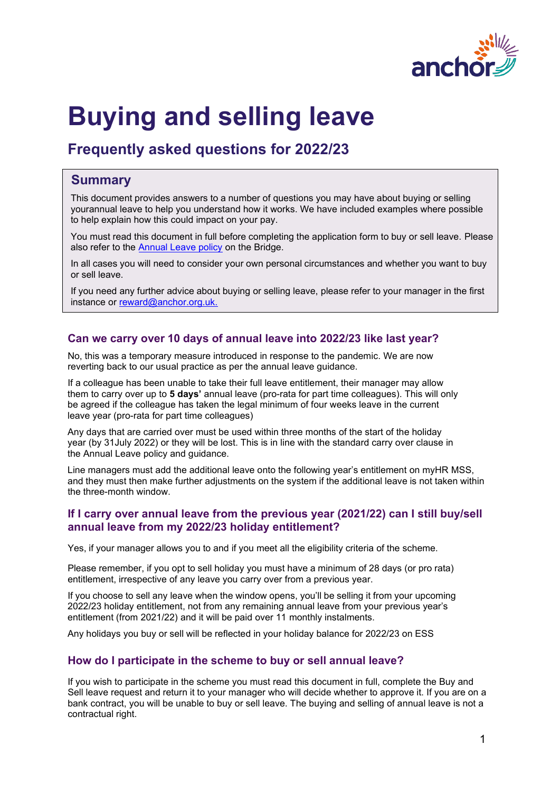

# **Buying and selling leave**

# **Frequently asked questions for 2022/23**

# **Summary**

This document provides answers to a number of questions you may have about buying or selling yourannual leave to help you understand how it works. We have included examples where possible to help explain how this could impact on your pay.

You must read this document in full before completing the application form to buy or sell leave. Please also refer to the [Annual](https://thebridge.myintranet.com/intranet/policy/view_policy.php?id=11&cat_id=5) Leave policy on the Bridge.

In all cases you will need to consider your own personal circumstances and whether you want to buy or sell leave.

If you need any further advice about buying or selling leave, please refer to your manager in the first instance or [reward@anchor.org.uk.](mailto:reward@anchor.org.uk.)

# **Can we carry over 10 days of annual leave into 2022/23 like last year?**

No, this was a temporary measure introduced in response to the pandemic. We are now reverting back to our usual practice as per the annual leave guidance.

If a colleague has been unable to take their full leave entitlement, their manager may allow them to carry over up to **5 days'** annual leave (pro-rata for part time colleagues). This will only be agreed if the colleague has taken the legal minimum of four weeks leave in the current leave year (pro-rata for part time colleagues)

Any days that are carried over must be used within three months of the start of the holiday year (by 31July 2022) or they will be lost. This is in line with the standard carry over clause in the Annual Leave policy and guidance.

Line managers must add the additional leave onto the following year's entitlement on myHR MSS, and they must then make further adjustments on the system if the additional leave is not taken within the three-month window.

# **If I carry over annual leave from the previous year (2021/22) can I still buy/sell annual leave from my 2022/23 holiday entitlement?**

Yes, if your manager allows you to and if you meet all the eligibility criteria of the scheme.

Please remember, if you opt to sell holiday you must have a minimum of 28 days (or pro rata) entitlement, irrespective of any leave you carry over from a previous year.

If you choose to sell any leave when the window opens, you'll be selling it from your upcoming 2022/23 holiday entitlement, not from any remaining annual leave from your previous year's entitlement (from 2021/22) and it will be paid over 11 monthly instalments.

Any holidays you buy or sell will be reflected in your holiday balance for 2022/23 on ESS

# **How do I participate in the scheme to buy or sell annual leave?**

If you wish to participate in the scheme you must read this document in full, complete the Buy and Sell leave request and return it to your manager who will decide whether to approve it. If you are on a bank contract, you will be unable to buy or sell leave. The buying and selling of annual leave is not a contractual right.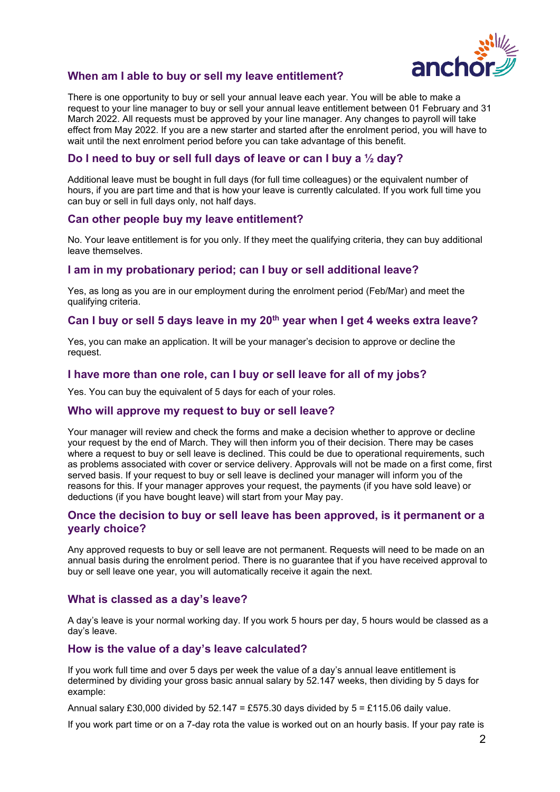

# **When am I able to buy or sell my leave entitlement?**

There is one opportunity to buy or sell your annual leave each year. You will be able to make a request to your line manager to buy or sell your annual leave entitlement between 01 February and 31 March 2022. All requests must be approved by your line manager. Any changes to payroll will take effect from May 2022. If you are a new starter and started after the enrolment period, you will have to wait until the next enrolment period before you can take advantage of this benefit.

# **Do I need to buy or sell full days of leave or can I buy a ½ day?**

Additional leave must be bought in full days (for full time colleagues) or the equivalent number of hours, if you are part time and that is how your leave is currently calculated. If you work full time you can buy or sell in full days only, not half days.

#### **Can other people buy my leave entitlement?**

No. Your leave entitlement is for you only. If they meet the qualifying criteria, they can buy additional leave themselves.

#### **I am in my probationary period; can I buy or sell additional leave?**

Yes, as long as you are in our employment during the enrolment period (Feb/Mar) and meet the qualifying criteria.

### **Can I buy or sell 5 days leave in my 20th year when I get 4 weeks extra leave?**

Yes, you can make an application. It will be your manager's decision to approve or decline the request.

#### **I have more than one role, can I buy or sell leave for all of my jobs?**

Yes. You can buy the equivalent of 5 days for each of your roles.

#### **Who will approve my request to buy or sell leave?**

Your manager will review and check the forms and make a decision whether to approve or decline your request by the end of March. They will then inform you of their decision. There may be cases where a request to buy or sell leave is declined. This could be due to operational requirements, such as problems associated with cover or service delivery. Approvals will not be made on a first come, first served basis. If your request to buy or sell leave is declined your manager will inform you of the reasons for this. If your manager approves your request, the payments (if you have sold leave) or deductions (if you have bought leave) will start from your May pay.

#### **Once the decision to buy or sell leave has been approved, is it permanent or a yearly choice?**

Any approved requests to buy or sell leave are not permanent. Requests will need to be made on an annual basis during the enrolment period. There is no guarantee that if you have received approval to buy or sell leave one year, you will automatically receive it again the next.

#### **What is classed as a day's leave?**

A day's leave is your normal working day. If you work 5 hours per day, 5 hours would be classed as a day's leave.

#### **How is the value of a day's leave calculated?**

If you work full time and over 5 days per week the value of a day's annual leave entitlement is determined by dividing your gross basic annual salary by 52.147 weeks, then dividing by 5 days for example:

Annual salary £30,000 divided by 52.147 = £575.30 days divided by  $5 = \text{\textsterling}115.06$  daily value.

If you work part time or on a 7-day rota the value is worked out on an hourly basis. If your pay rate is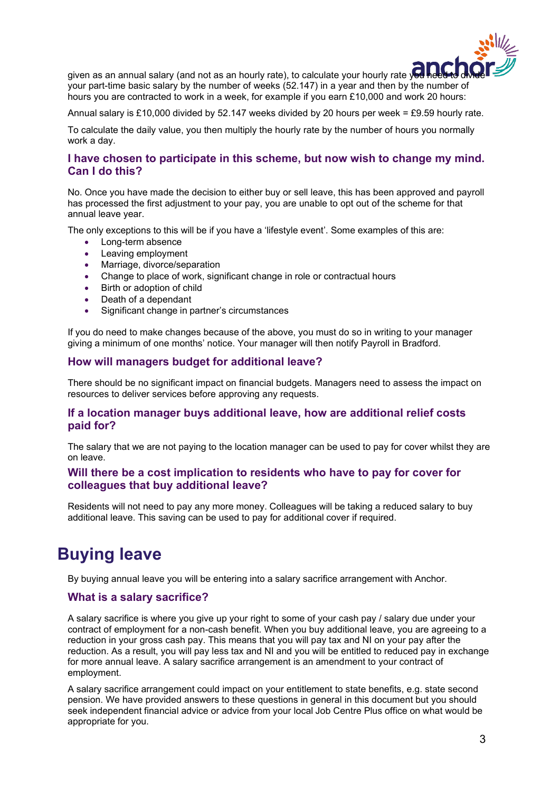

given as an annual salary (and not as an hourly rate), to calculate your hourly rate you heed to vour part-time your part-time basic salary by the number of weeks (52.147) in a year and then by the number of hours you are contracted to work in a week, for example if you earn £10,000 and work 20 hours:

Annual salary is £10,000 divided by 52.147 weeks divided by 20 hours per week = £9.59 hourly rate.

To calculate the daily value, you then multiply the hourly rate by the number of hours you normally work a day.

# **I have chosen to participate in this scheme, but now wish to change my mind. Can I do this?**

No. Once you have made the decision to either buy or sell leave, this has been approved and payroll has processed the first adjustment to your pay, you are unable to opt out of the scheme for that annual leave year.

The only exceptions to this will be if you have a 'lifestyle event'. Some examples of this are:

- Long-term absence
- Leaving employment
- Marriage, divorce/separation
- Change to place of work, significant change in role or contractual hours
- Birth or adoption of child
- Death of a dependant
- Significant change in partner's circumstances

If you do need to make changes because of the above, you must do so in writing to your manager giving a minimum of one months' notice. Your manager will then notify Payroll in Bradford.

# **How will managers budget for additional leave?**

There should be no significant impact on financial budgets. Managers need to assess the impact on resources to deliver services before approving any requests.

# **If a location manager buys additional leave, how are additional relief costs paid for?**

The salary that we are not paying to the location manager can be used to pay for cover whilst they are on leave.

# **Will there be a cost implication to residents who have to pay for cover for colleagues that buy additional leave?**

Residents will not need to pay any more money. Colleagues will be taking a reduced salary to buy additional leave. This saving can be used to pay for additional cover if required.

# **Buying leave**

By buying annual leave you will be entering into a salary sacrifice arrangement with Anchor.

# **What is a salary sacrifice?**

A salary sacrifice is where you give up your right to some of your cash pay / salary due under your contract of employment for a non-cash benefit. When you buy additional leave, you are agreeing to a reduction in your gross cash pay. This means that you will pay tax and NI on your pay after the reduction. As a result, you will pay less tax and NI and you will be entitled to reduced pay in exchange for more annual leave. A salary sacrifice arrangement is an amendment to your contract of employment.

A salary sacrifice arrangement could impact on your entitlement to state benefits, e.g. state second pension. We have provided answers to these questions in general in this document but you should seek independent financial advice or advice from your local Job Centre Plus office on what would be appropriate for you.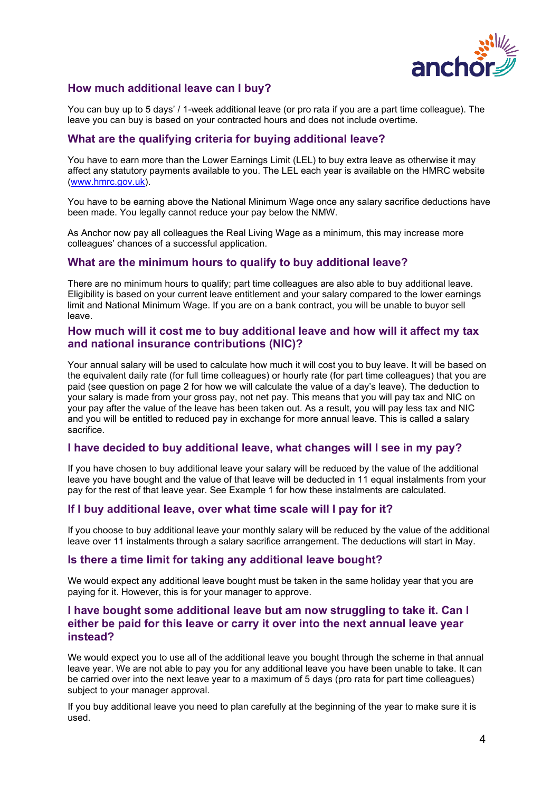

# **How much additional leave can I buy?**

You can buy up to 5 days' / 1-week additional leave (or pro rata if you are a part time colleague). The leave you can buy is based on your contracted hours and does not include overtime.

# **What are the qualifying criteria for buying additional leave?**

You have to earn more than the Lower Earnings Limit (LEL) to buy extra leave as otherwise it may affect any statutory payments available to you. The LEL each year is available on the HMRC website [\(www.hmrc.gov.uk\)](http://www.hmrc.gov.uk/).

You have to be earning above the National Minimum Wage once any salary sacrifice deductions have been made. You legally cannot reduce your pay below the NMW.

As Anchor now pay all colleagues the Real Living Wage as a minimum, this may increase more colleagues' chances of a successful application.

#### **What are the minimum hours to qualify to buy additional leave?**

There are no minimum hours to qualify; part time colleagues are also able to buy additional leave. Eligibility is based on your current leave entitlement and your salary compared to the lower earnings limit and National Minimum Wage. If you are on a bank contract, you will be unable to buyor sell leave.

#### **How much will it cost me to buy additional leave and how will it affect my tax and national insurance contributions (NIC)?**

Your annual salary will be used to calculate how much it will cost you to buy leave. It will be based on the equivalent daily rate (for full time colleagues) or hourly rate (for part time colleagues) that you are paid (see question on page 2 for how we will calculate the value of a day's leave). The deduction to your salary is made from your gross pay, not net pay. This means that you will pay tax and NIC on your pay after the value of the leave has been taken out. As a result, you will pay less tax and NIC and you will be entitled to reduced pay in exchange for more annual leave. This is called a salary sacrifice.

### **I have decided to buy additional leave, what changes will I see in my pay?**

If you have chosen to buy additional leave your salary will be reduced by the value of the additional leave you have bought and the value of that leave will be deducted in 11 equal instalments from your pay for the rest of that leave year. See Example 1 for how these instalments are calculated.

# **If I buy additional leave, over what time scale will I pay for it?**

If you choose to buy additional leave your monthly salary will be reduced by the value of the additional leave over 11 instalments through a salary sacrifice arrangement. The deductions will start in May.

#### **Is there a time limit for taking any additional leave bought?**

We would expect any additional leave bought must be taken in the same holiday year that you are paying for it. However, this is for your manager to approve.

# **I have bought some additional leave but am now struggling to take it. Can I either be paid for this leave or carry it over into the next annual leave year instead?**

We would expect you to use all of the additional leave you bought through the scheme in that annual leave year. We are not able to pay you for any additional leave you have been unable to take. It can be carried over into the next leave year to a maximum of 5 days (pro rata for part time colleagues) subject to your manager approval.

If you buy additional leave you need to plan carefully at the beginning of the year to make sure it is used.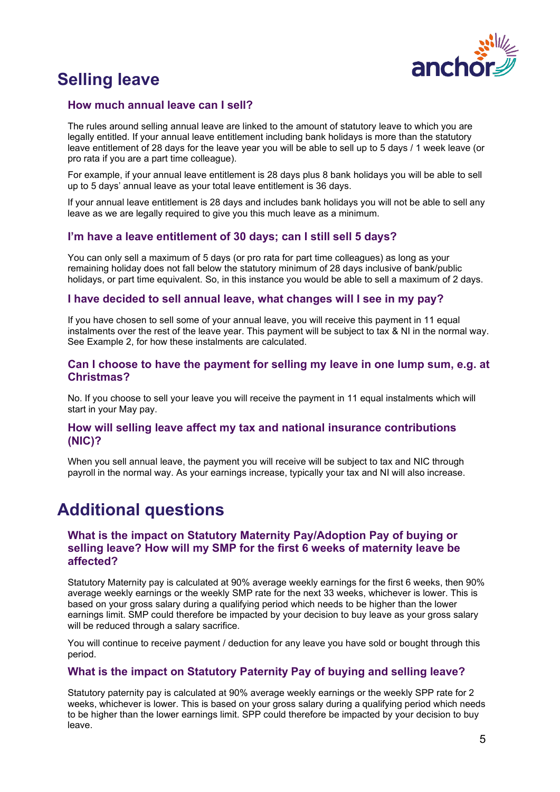

# **Selling leave**

# **How much annual leave can I sell?**

The rules around selling annual leave are linked to the amount of statutory leave to which you are legally entitled. If your annual leave entitlement including bank holidays is more than the statutory leave entitlement of 28 days for the leave year you will be able to sell up to 5 days / 1 week leave (or pro rata if you are a part time colleague).

For example, if your annual leave entitlement is 28 days plus 8 bank holidays you will be able to sell up to 5 days' annual leave as your total leave entitlement is 36 days.

If your annual leave entitlement is 28 days and includes bank holidays you will not be able to sell any leave as we are legally required to give you this much leave as a minimum.

# **I'm have a leave entitlement of 30 days; can I still sell 5 days?**

You can only sell a maximum of 5 days (or pro rata for part time colleagues) as long as your remaining holiday does not fall below the statutory minimum of 28 days inclusive of bank/public holidays, or part time equivalent. So, in this instance you would be able to sell a maximum of 2 days.

# **I have decided to sell annual leave, what changes will I see in my pay?**

If you have chosen to sell some of your annual leave, you will receive this payment in 11 equal instalments over the rest of the leave year. This payment will be subject to tax & NI in the normal way. See Example 2, for how these instalments are calculated.

### **Can I choose to have the payment for selling my leave in one lump sum, e.g. at Christmas?**

No. If you choose to sell your leave you will receive the payment in 11 equal instalments which will start in your May pay.

### **How will selling leave affect my tax and national insurance contributions (NIC)?**

When you sell annual leave, the payment you will receive will be subject to tax and NIC through payroll in the normal way. As your earnings increase, typically your tax and NI will also increase.

# **Additional questions**

### **What is the impact on Statutory Maternity Pay/Adoption Pay of buying or selling leave? How will my SMP for the first 6 weeks of maternity leave be affected?**

Statutory Maternity pay is calculated at 90% average weekly earnings for the first 6 weeks, then 90% average weekly earnings or the weekly SMP rate for the next 33 weeks, whichever is lower. This is based on your gross salary during a qualifying period which needs to be higher than the lower earnings limit. SMP could therefore be impacted by your decision to buy leave as your gross salary will be reduced through a salary sacrifice.

You will continue to receive payment / deduction for any leave you have sold or bought through this period.

# **What is the impact on Statutory Paternity Pay of buying and selling leave?**

Statutory paternity pay is calculated at 90% average weekly earnings or the weekly SPP rate for 2 weeks, whichever is lower. This is based on your gross salary during a qualifying period which needs to be higher than the lower earnings limit. SPP could therefore be impacted by your decision to buy leave.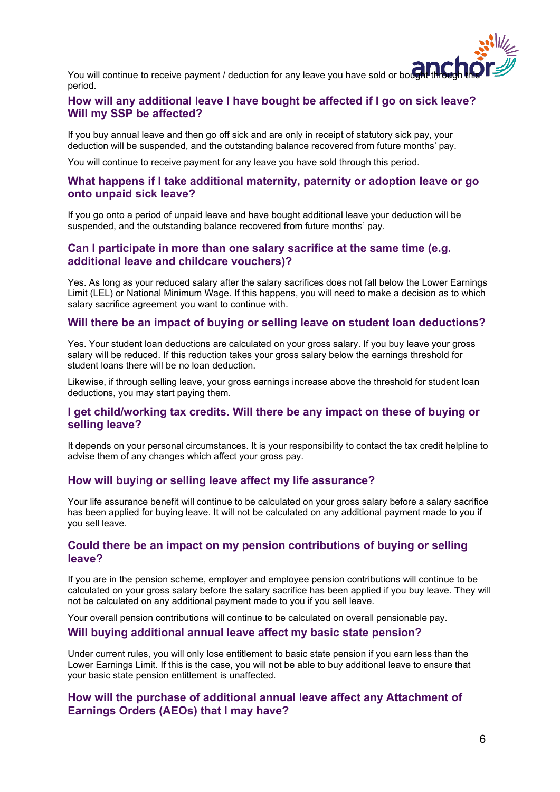

You will continue to receive payment / deduction for any leave you have sold or bought through this period.

# **How will any additional leave I have bought be affected if I go on sick leave? Will my SSP be affected?**

If you buy annual leave and then go off sick and are only in receipt of statutory sick pay, your deduction will be suspended, and the outstanding balance recovered from future months' pay.

You will continue to receive payment for any leave you have sold through this period.

#### **What happens if I take additional maternity, paternity or adoption leave or go onto unpaid sick leave?**

If you go onto a period of unpaid leave and have bought additional leave your deduction will be suspended, and the outstanding balance recovered from future months' pay.

#### **Can I participate in more than one salary sacrifice at the same time (e.g. additional leave and childcare vouchers)?**

Yes. As long as your reduced salary after the salary sacrifices does not fall below the Lower Earnings Limit (LEL) or National Minimum Wage. If this happens, you will need to make a decision as to which salary sacrifice agreement you want to continue with.

#### **Will there be an impact of buying or selling leave on student loan deductions?**

Yes. Your student loan deductions are calculated on your gross salary. If you buy leave your gross salary will be reduced. If this reduction takes your gross salary below the earnings threshold for student loans there will be no loan deduction.

Likewise, if through selling leave, your gross earnings increase above the threshold for student loan deductions, you may start paying them.

### **I get child/working tax credits. Will there be any impact on these of buying or selling leave?**

It depends on your personal circumstances. It is your responsibility to contact the tax credit helpline to advise them of any changes which affect your gross pay.

#### **How will buying or selling leave affect my life assurance?**

Your life assurance benefit will continue to be calculated on your gross salary before a salary sacrifice has been applied for buying leave. It will not be calculated on any additional payment made to you if you sell leave.

#### **Could there be an impact on my pension contributions of buying or selling leave?**

If you are in the pension scheme, employer and employee pension contributions will continue to be calculated on your gross salary before the salary sacrifice has been applied if you buy leave. They will not be calculated on any additional payment made to you if you sell leave.

Your overall pension contributions will continue to be calculated on overall pensionable pay.

#### **Will buying additional annual leave affect my basic state pension?**

Under current rules, you will only lose entitlement to basic state pension if you earn less than the Lower Earnings Limit. If this is the case, you will not be able to buy additional leave to ensure that your basic state pension entitlement is unaffected.

### **How will the purchase of additional annual leave affect any Attachment of Earnings Orders (AEOs) that I may have?**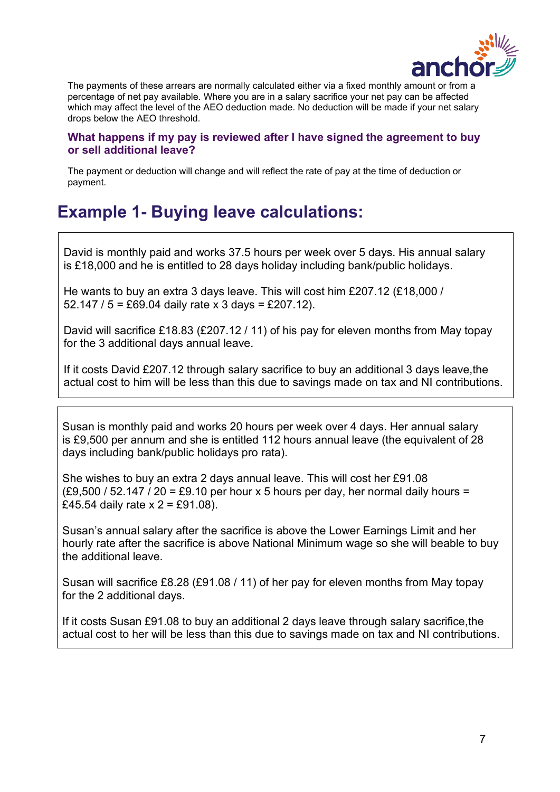

The payments of these arrears are normally calculated either via a fixed monthly amount or from a percentage of net pay available. Where you are in a salary sacrifice your net pay can be affected which may affect the level of the AEO deduction made. No deduction will be made if your net salary drops below the AEO threshold.

# **What happens if my pay is reviewed after I have signed the agreement to buy or sell additional leave?**

The payment or deduction will change and will reflect the rate of pay at the time of deduction or payment.

# **Example 1- Buying leave calculations:**

David is monthly paid and works 37.5 hours per week over 5 days. His annual salary is £18,000 and he is entitled to 28 days holiday including bank/public holidays.

He wants to buy an extra 3 days leave. This will cost him £207.12 (£18,000 / 52.147 /  $5 = £69.04$  daily rate x 3 days = £207.12).

David will sacrifice £18.83 (£207.12 / 11) of his pay for eleven months from May topay for the 3 additional days annual leave.

If it costs David £207.12 through salary sacrifice to buy an additional 3 days leave,the actual cost to him will be less than this due to savings made on tax and NI contributions.

Susan is monthly paid and works 20 hours per week over 4 days. Her annual salary is £9,500 per annum and she is entitled 112 hours annual leave (the equivalent of 28 days including bank/public holidays pro rata).

She wishes to buy an extra 2 days annual leave. This will cost her £91.08  $(E9,500 / 52.147 / 20 = E9.10$  per hour x 5 hours per day, her normal daily hours = £45.54 daily rate  $x = 2 = 0.08$ .

Susan's annual salary after the sacrifice is above the Lower Earnings Limit and her hourly rate after the sacrifice is above National Minimum wage so she will beable to buy the additional leave.

Susan will sacrifice £8.28 (£91.08 / 11) of her pay for eleven months from May topay for the 2 additional days.

If it costs Susan £91.08 to buy an additional 2 days leave through salary sacrifice,the actual cost to her will be less than this due to savings made on tax and NI contributions.